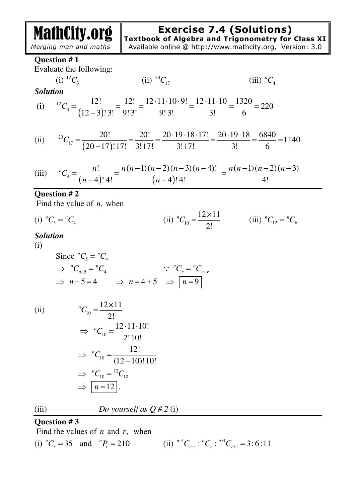MathCity.org

# **Exercise 7.4 (Solutions)**

**Textbook of Algebra and Trigonometry for Class XI**

 *Merging man and maths* 

Available online @ http://www.mathcity.org, Version: 3.0

#### **Question # 1**

Evaluate the following:

(i) 
$$
{}^{12}C_3
$$

\n(ii)  ${}^{20}C_{17}$ 

\n(iii)  ${}^{n}C_4$ 

\nSolution

\n(i)  ${}^{12}C_3 = \frac{12!}{(12-3)!3!} = \frac{12!}{9!3!} = \frac{12 \cdot 11 \cdot 10 \cdot 9!}{9!3!} = \frac{12 \cdot 11 \cdot 10}{3!} = \frac{1320}{6} = 220$ 

\n(ii)  ${}^{20}C_{17} = \frac{20!}{(20-17)!17!} = \frac{20!}{3!17!} = \frac{20 \cdot 19 \cdot 18 \cdot 17!}{3!17!} = \frac{20 \cdot 19 \cdot 18}{3!} = \frac{6840}{6} = 1140$ 

(iii) 
$$
{}^{n}C_{4} = \frac{n!}{(n-4)! \cdot 4!} = \frac{n(n-1)(n-2)(n-3)(n-4)!}{(n-4)! \cdot 4!} = \frac{n(n-1)(n-2)(n-3)}{4!}
$$

## **Question # 2**

Find the value of *n*, when

(i) 
$$
{}^nC_5 = {}^nC_4
$$
 (ii)  ${}^nC_{10} = \frac{12 \times 11}{2!}$  (iii)  ${}^nC_{12} = {}^nC_6$ 

#### *Solution*

(i)

Since 
$$
{}^nC_5 = {}^nC_4
$$
  
\n $\Rightarrow {}^nC_{n-5} = {}^nC_4$   
\n $\Rightarrow n-5 = 4 \Rightarrow n = 4+5 \Rightarrow \boxed{n=9}$ 

$$
\rm(ii)
$$

(ii)  
\n
$$
{}^{n}C_{10} = \frac{12 \times 11}{2!}
$$
\n
$$
\Rightarrow {}^{n}C_{10} = \frac{12 \cdot 11 \cdot 10!}{2! \cdot 10!}
$$
\n
$$
\Rightarrow {}^{n}C_{10} = \frac{12!}{(12-10)! \cdot 10!}
$$
\n
$$
\Rightarrow {}^{n}C_{10} = {}^{12}C_{10}
$$
\n
$$
\Rightarrow \boxed{n=12}.
$$

(iii) *Do yourself as* 
$$
Q \# 2
$$
 (i)

# **Question # 3**

Find the values of *n* and *r*, when

(i)  ${}^{n}C_{r} = 35$  and  ${}^{n}P_{r} = 210$  ${}^{n-1}C_{r-1}$  :  ${}^{n}C_{r}$  :  ${}^{n+1}C_{r+1}$  = 3:6:11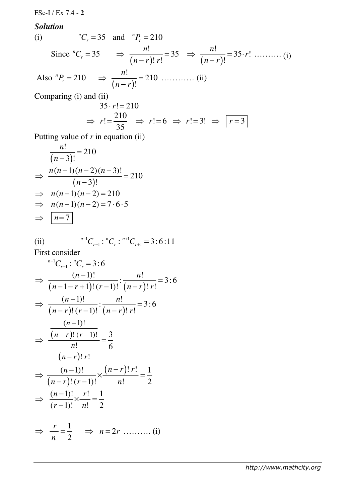FSc-I / Ex 7.4 - **2**

*Solution* 

(i) 
$$
{}^nC_r = 35
$$
 and  ${}^nP_r = 210$   
\nSince  ${}^nC_r = 35$   $\Rightarrow \frac{n!}{(n-r)! \, r!} = 35$   $\Rightarrow \frac{n!}{(n-r)!} = 35 \cdot r! \dots \dots \dots (i)$   
\nAlso  ${}^nP_r = 210$   $\Rightarrow \frac{n!}{(n-r)!} = 210 \dots \dots \dots (ii)$ 

Comparing (i) and (ii)

$$
35 \cdot r! = 210
$$
  
\n
$$
\Rightarrow r! = \frac{210}{35} \Rightarrow r! = 6 \Rightarrow r! = 3! \Rightarrow r! = 3
$$

Putting value of *r* in equation (ii)

$$
\frac{n!}{(n-3)!} = 210
$$
  
\n⇒  $\frac{n(n-1)(n-2)(n-3)!}{(n-3)!} = 210$   
\n⇒  $n(n-1)(n-2) = 210$   
\n⇒  $n(n-1)(n-2) = 7 \cdot 6 \cdot 5$   
\n⇒  $\boxed{n=7}$ 

(ii) 
$$
{}^{n-1}C_{r-1} : {}^{n}C_{r} : {}^{n+1}C_{r+1} = 3:6:11
$$

First consider

$$
{}^{n-1}C_{r-1}: {}^{n}C_{r} = 3:6
$$
  
\n
$$
\Rightarrow \frac{(n-1)!}{(n-1-r+1)!(r-1)!} : \frac{n!}{(n-r)!r!} = 3:6
$$
  
\n
$$
\Rightarrow \frac{(n-1)!}{(n-r)!(r-1)!} : \frac{n!}{(n-r)!r!} = 3:6
$$
  
\n
$$
\frac{(n-1)!}{n!} = \frac{3}{6}
$$
  
\n
$$
\frac{(n-1)!}{(n-r)!r!} = \frac{1}{6}
$$
  
\n
$$
\Rightarrow \frac{(n-1)!}{(n-r)!(r-1)!} \times \frac{(n-r)!r!}{n!} = \frac{1}{2}
$$
  
\n
$$
\Rightarrow \frac{(n-1)!}{(r-1)!} \times \frac{r!}{n!} = \frac{1}{2}
$$
  
\n
$$
\Rightarrow \frac{r}{n} = \frac{1}{2} \Rightarrow n = 2r \dots \dots \dots (i)
$$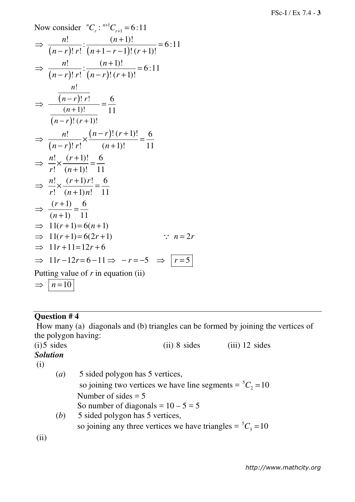Now consider 
$$
{}^nC_r
$$
:  ${}^{n+1}C_{r+1} = 6:11$   
\n $\Rightarrow \frac{n!}{(n-r)! \cdot r!} : \frac{(n+1)!}{(n+1-r-1)!(r+1)!} = 6:11$   
\n $\Rightarrow \frac{n!}{(n-r)! \cdot r!} : \frac{(n+1)!}{(n-r)! \cdot (r+1)!} = 6:11$   
\n $\Rightarrow \frac{(n-r)! \cdot r!}{(n+1)!} = \frac{6}{11}$   
\n $\Rightarrow \frac{n!}{(n-r)! \cdot r!} \times \frac{(n-r)! \cdot (r+1)!}{(n+1)!} = \frac{6}{11}$   
\n $\Rightarrow \frac{n!}{r!} \times \frac{(r+1)!}{(n+1)!} = \frac{6}{11}$   
\n $\Rightarrow \frac{n!}{r!} \times \frac{(r+1)r!}{(n+1)n!} = \frac{6}{11}$   
\n $\Rightarrow \frac{(r+1)}{(n+1)} = \frac{6}{11}$   
\n $\Rightarrow 11(r+1) = 6(n+1)$   
\n $\Rightarrow 11(r+1) = 6(2r+1)$   $\therefore n = 2r$   
\n $\Rightarrow 11r+11=12r+6$   
\n $\Rightarrow 11r-12r=6-11 \Rightarrow -r=-5 \Rightarrow \boxed{r=5}$   
\nPutting value of *r* in equation (ii)  
\n $\Rightarrow \boxed{n=10}$ 

## **Question # 4**

 How many (a) diagonals and (b) triangles can be formed by joining the vertices of the polygon having:

 $(i)$ 5 sides  $(i)$  sides  $(iii)$  8 sides  $(iii)$  12 sides

*Solution*  (i)

 (*a*) 5 sided polygon has 5 vertices, so joining two vertices we have line segments =  ${}^5C_2$  = 10 Number of sides  $= 5$ So number of diagonals =  $10 - 5 = 5$  (*b*) 5 sided polygon has 5 vertices, so joining any three vertices we have triangles =  ${}^5C_3$  = 10

(ii)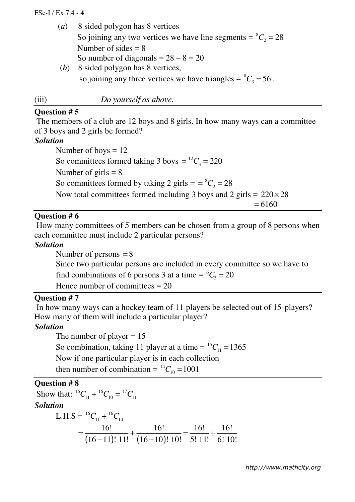#### FSc-I / Ex 7.4 - **4**

 (*a*) 8 sided polygon has 8 vertices So joining any two vertices we have line segments =  ${}^{8}C_{2}$  = 28 Number of sides  $= 8$ So number of diagonals  $= 28 - 8 = 20$ (*b*) 8 sided polygon has 8 vertices,

so joining any three vertices we have triangles =  ${}^{8}C_{3}$  = 56.

(iii) *Do yourself as above.*

## **Question # 5**

 The members of a club are 12 boys and 8 girls. In how many ways can a committee of 3 boys and 2 girls be formed?

#### *Solution*

Number of boys  $= 12$ So committees formed taking 3 boys  $= {}^{12}C_3 = 220$ Number of girls  $= 8$ So committees formed by taking 2 girls  $= = {}^{8}C_{2} = 28$ Now total committees formed including 3 boys and 2 girls =  $220 \times 28$  $= 6160$ 

#### **Question # 6**

 How many committees of 5 members can be chosen from a group of 8 persons when each committee must include 2 particular persons?

#### *Solution*

Number of persons  $= 8$ 

Since two particular persons are included in every committee so we have to

find combinations of 6 persons 3 at a time =  ${}^6C_3$  = 20

Hence number of committees  $= 20$ 

## **Question # 7**

 In how many ways can a hockey team of 11 players be selected out of 15 players? How many of them will include a particular player?

## *Solution*

The number of player  $= 15$ So combination, taking 11 player at a time =  ${}^{15}C_{11}$  = 1365 Now if one particular player is in each collection then number of combination =  $^{14}C_{10}$  = 1001

### **Question # 8**

Show that:  ${}^{16}C_{11} + {}^{16}C_{10} = {}^{17}C_{11}$ *Solution*   $L.H.S = {}^{16}C_{11} + {}^{16}C_{10}$  $(16-11)!$  11!  $(16-10)$ 16! 16! 16! 16!  $16 - 11$ !  $11!$   $(16 - 10)!$  10! 5! 11! 6! 10!  $=\frac{10!}{(46-11)!4!}+\frac{10!}{(46-10)!40!}=\frac{10!}{5!4!}+$ −11)! 11! (16−

*http://www.mathcity.org*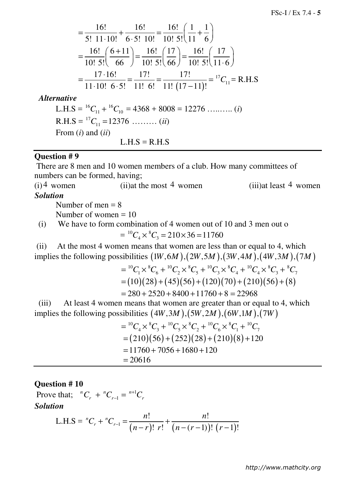$$
= \frac{16!}{5! \cdot 11 \cdot 10!} + \frac{16!}{6 \cdot 5! \cdot 10!} = \frac{16!}{10! \cdot 5!} \left(\frac{1}{11} + \frac{1}{6}\right)
$$
  

$$
= \frac{16!}{10! \cdot 5!} \left(\frac{6+11}{66}\right) = \frac{16!}{10! \cdot 5!} \left(\frac{17}{66}\right) = \frac{16!}{10! \cdot 5!} \left(\frac{17}{11 \cdot 6}\right)
$$
  

$$
= \frac{17 \cdot 16!}{11 \cdot 10! \cdot 6 \cdot 5!} = \frac{17!}{11! \cdot 6!} = \frac{17!}{11! \cdot (17-11)!} = {}^{17}C_{11} = \text{R.H.S}
$$

 *Alternative* 

L.H.S =  ${}^{16}C_{11}$  +  ${}^{16}C_{10}$  = 4368 + 8008 = 12276 …....... (*i*)  $R.H.S = <sup>17</sup>C<sub>11</sub> = 12376$  ……… *(ii)* From (*i*) and (*ii*)  $L.H.S = R.H.S$ 

#### **Question # 9**

There are 8 men and 10 women members of a club. How many committees of numbers can be formed, having;

 $(i)$ <sup>4</sup> women (ii)at the most <sup>4</sup> women (iii)at least <sup>4</sup> women *Solution* 

Number of men  $= 8$ 

Number of women = 10

(i) We have to form combination of 4 women out of 10 and 3 men out o  $= {}^{10}C_4 \times {}^{8}C_3 = 210 \times 36 = 11760$ 

 (ii) At the most 4 women means that women are less than or equal to 4, which implies the following possibilities  $(1W, 6M)$ ,  $(2W, 5M)$ ,  $(3W, 4M)$ ,  $(4W, 3M)$ ,  $(7M)$ 

$$
= {}^{10}C_1 \times {}^{8}C_6 + {}^{10}C_2 \times {}^{8}C_5 + {}^{10}C_3 \times {}^{8}C_4 + {}^{10}C_4 \times {}^{8}C_3 + {}^{8}C_7
$$
  
= (10)(28) + (45)(56) + (120)(70) + (210)(56) + (8)  
= 280 + 2520 + 8400 + 11760 + 8 = 22968

 (iii) At least 4 women means that women are greater than or equal to 4, which implies the following possibilities  $(4W, 3M)$ ,  $(5W, 2M)$ ,  $(6W, 1M)$ ,  $(7W)$ 

$$
= {}^{10}C_4 \times {}^{8}C_3 + {}^{10}C_5 \times {}^{8}C_2 + {}^{10}C_6 \times {}^{8}C_1 + {}^{10}C_7
$$
  
= (210)(56) + (252)(28) + (210)(8) + 120  
= 11760 + 7056 + 1680 + 120  
= 20616

#### **Question # 10**

Prove that;  ${}^{n}C_{r} + {}^{n}C_{r-1} = {}^{n+1}C_{r}$ *Solution*  L.H.S =  ${}^nC_r + {}^nC_{r-1} = \frac{n!}{(n-r)! \; r!} + \frac{n!}{(n-(r-1))! \; (r-1)}$  $\qquad \qquad \qquad n!$  $\left[ r\right]$   $(n-(r-1))$ !  $(r-1)$ !  $n_{\mathcal{C}}$   $n^{n}$  $C_r + {^n}C_{r-1} = \frac{n!}{(n-r)!r!} + \frac{n!}{(n-(n-1))r!}$  $(n-r)!$  r!  $(n-(r-1))!$  (*r*  $+ {}^{n}C_{r-1} = \frac{n!}{(n-r)!} +$  $(-r)!$   $r!$   $(n-(r-1))!$   $(r-$